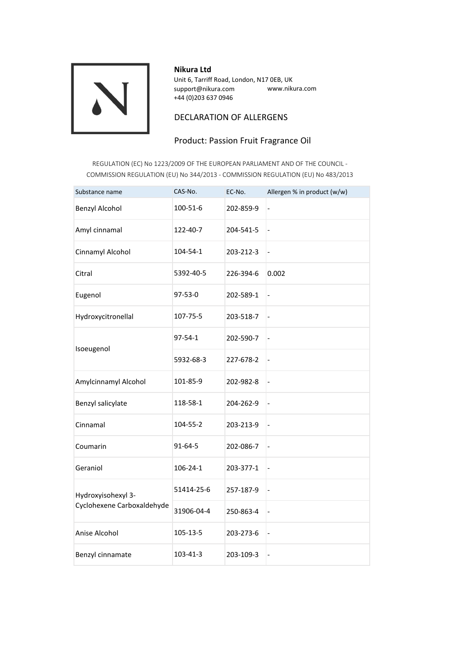

#### **Nikura Ltd**

Unit 6, Tarriff Road, London, N17 0EB, UK support@nikura.com www.nikura.com +44 (0)203 637 0946

## DECLARATION OF ALLERGENS

# Product: Passion Fruit Fragrance Oil

REGULATION (EC) No 1223/2009 OF THE EUROPEAN PARLIAMENT AND OF THE COUNCIL - COMMISSION REGULATION (EU) No 344/2013 - COMMISSION REGULATION (EU) No 483/2013

| Substance name                                   | CAS-No.       | EC-No.    | Allergen % in product (w/w)  |
|--------------------------------------------------|---------------|-----------|------------------------------|
| Benzyl Alcohol                                   | 100-51-6      | 202-859-9 | $\overline{\phantom{0}}$     |
| Amyl cinnamal                                    | 122-40-7      | 204-541-5 | $\frac{1}{2}$                |
| Cinnamyl Alcohol                                 | 104-54-1      | 203-212-3 | $\qquad \qquad \blacksquare$ |
| Citral                                           | 5392-40-5     | 226-394-6 | 0.002                        |
| Eugenol                                          | 97-53-0       | 202-589-1 | $\overline{\phantom{0}}$     |
| Hydroxycitronellal                               | 107-75-5      | 203-518-7 | $\qquad \qquad \blacksquare$ |
| Isoeugenol                                       | $97 - 54 - 1$ | 202-590-7 | $\qquad \qquad \blacksquare$ |
|                                                  | 5932-68-3     | 227-678-2 | $\qquad \qquad \blacksquare$ |
| Amylcinnamyl Alcohol                             | 101-85-9      | 202-982-8 | $\frac{1}{2}$                |
| Benzyl salicylate                                | 118-58-1      | 204-262-9 | $\overline{\phantom{0}}$     |
| Cinnamal                                         | 104-55-2      | 203-213-9 | $\overline{\phantom{0}}$     |
| Coumarin                                         | 91-64-5       | 202-086-7 | $\overline{\phantom{a}}$     |
| Geraniol                                         | 106-24-1      | 203-377-1 | $\overline{\phantom{a}}$     |
| Hydroxyisohexyl 3-<br>Cyclohexene Carboxaldehyde | 51414-25-6    | 257-187-9 | $\qquad \qquad \blacksquare$ |
|                                                  | 31906-04-4    | 250-863-4 | $\qquad \qquad \blacksquare$ |
| Anise Alcohol                                    | 105-13-5      | 203-273-6 | $\frac{1}{2}$                |
| Benzyl cinnamate                                 | 103-41-3      | 203-109-3 | $\frac{1}{2}$                |